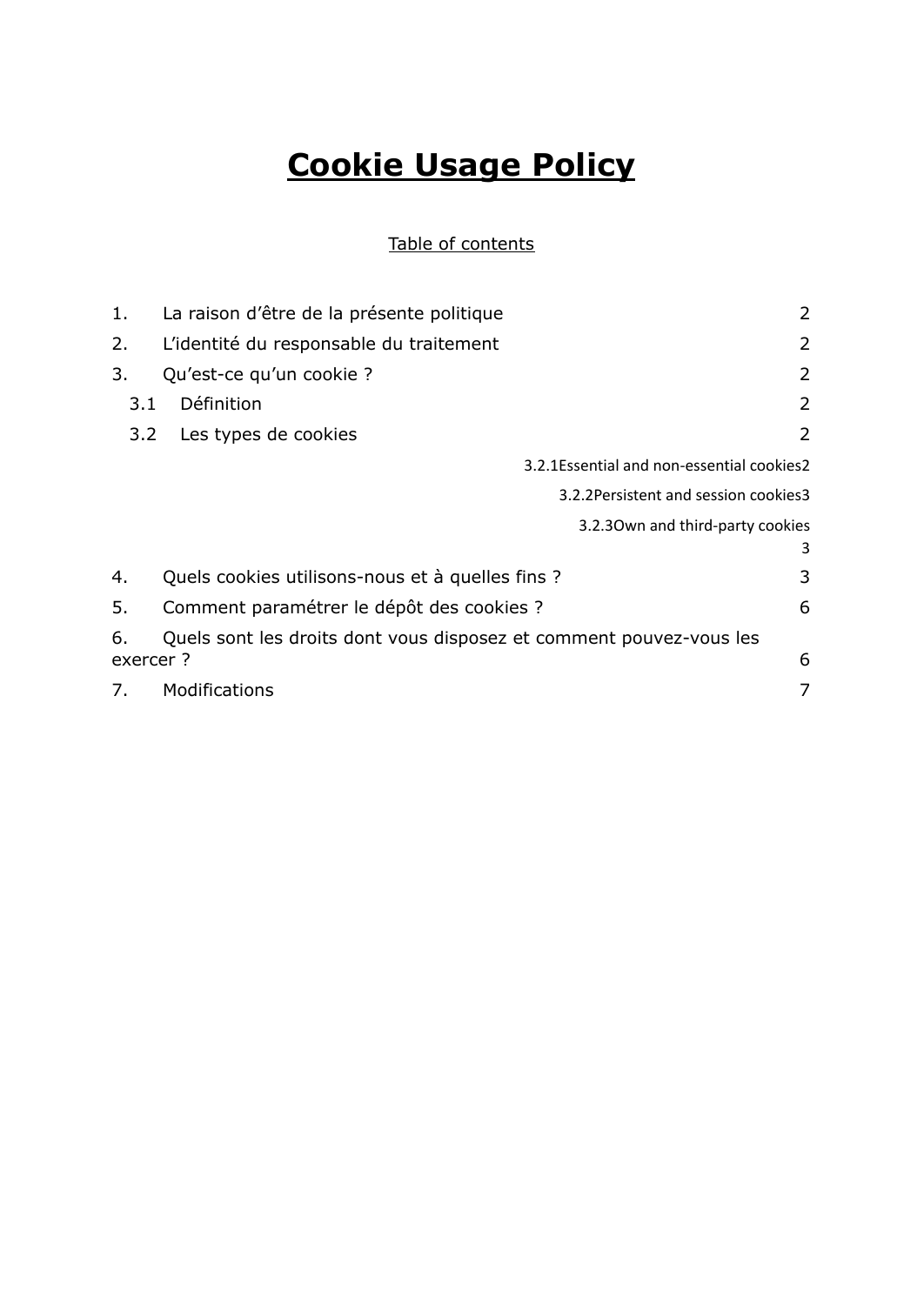# **Cookie Usage Policy**

#### Table of contents

| 1.        | La raison d'être de la présente politique                           | 2 |
|-----------|---------------------------------------------------------------------|---|
| 2.        | L'identité du responsable du traitement                             | 2 |
| 3.        | Qu'est-ce qu'un cookie ?                                            | 2 |
| 3.1       | Définition                                                          | 2 |
| 3.2       | Les types de cookies                                                | 2 |
|           | 3.2.1 Essential and non-essential cookies 2                         |   |
|           | 3.2.2 Persistent and session cookies 3                              |   |
|           | 3.2.30wn and third-party cookies                                    |   |
|           |                                                                     | 3 |
| 4.        | Quels cookies utilisons-nous et à quelles fins ?                    | 3 |
| 5.        | Comment paramétrer le dépôt des cookies ?                           | 6 |
| 6.        | Quels sont les droits dont vous disposez et comment pouvez-vous les |   |
| exercer ? |                                                                     | 6 |
| 7.        | Modifications                                                       | 7 |
|           |                                                                     |   |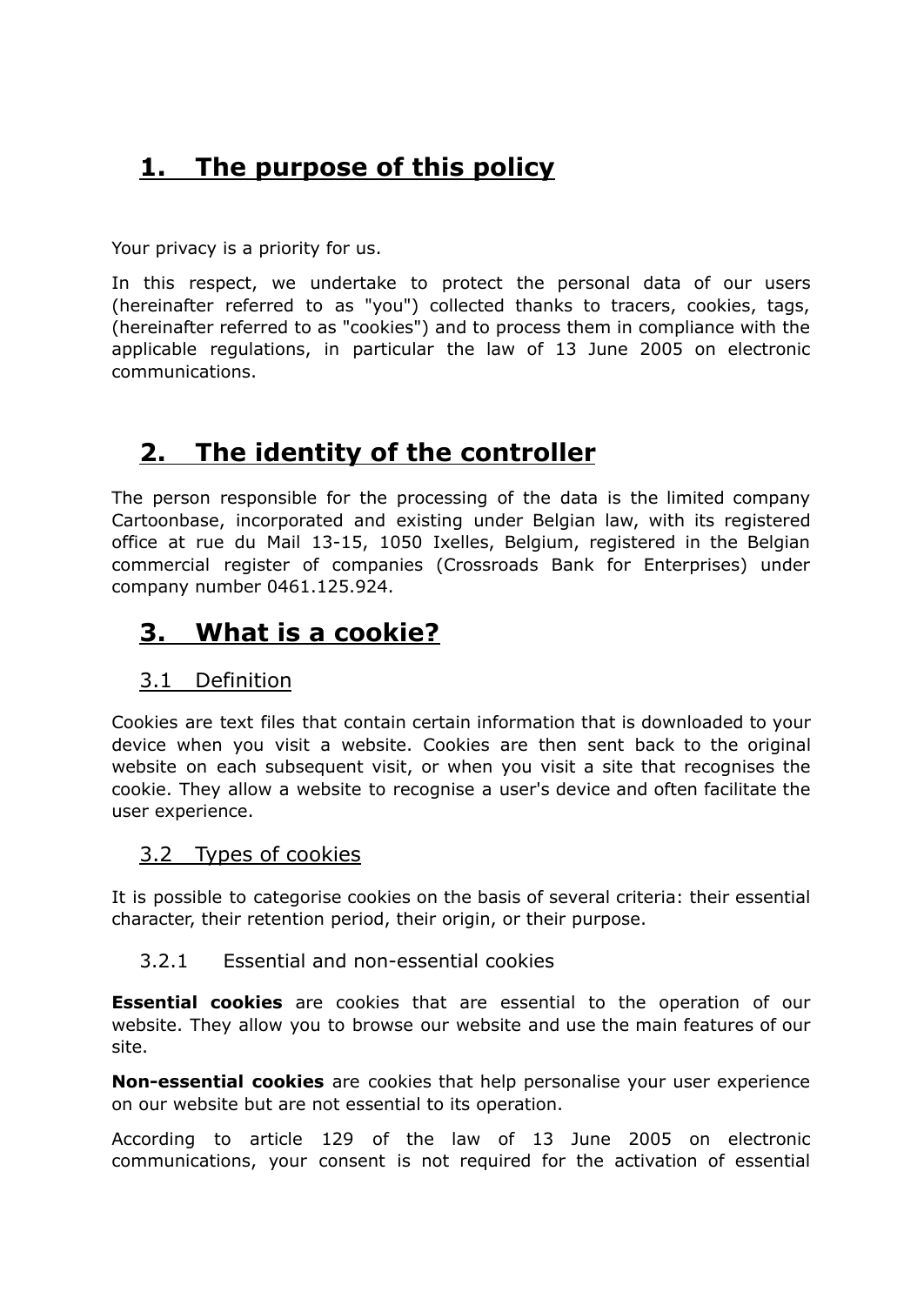# <span id="page-1-0"></span>**1. The purpose of this policy**

Your privacy is a priority for us.

In this respect, we undertake to protect the personal data of our users (hereinafter referred to as "you") collected thanks to tracers, cookies, tags, (hereinafter referred to as "cookies") and to process them in compliance with the applicable regulations, in particular the law of 13 June 2005 on electronic communications.

# <span id="page-1-1"></span>**2. The identity of the controller**

The person responsible for the processing of the data is the limited company Cartoonbase, incorporated and existing under Belgian law, with its registered office at rue du Mail 13-15, 1050 Ixelles, Belgium, registered in the Belgian commercial register of companies (Crossroads Bank for Enterprises) under company number 0461.125.924.

# <span id="page-1-2"></span>**3. What is a cookie?**

#### <span id="page-1-3"></span>3.1 Definition

Cookies are text files that contain certain information that is downloaded to your device when you visit a website. Cookies are then sent back to the original website on each subsequent visit, or when you visit a site that recognises the cookie. They allow a website to recognise a user's device and often facilitate the user experience.

#### <span id="page-1-4"></span>3.2 Types of cookies

It is possible to categorise cookies on the basis of several criteria: their essential character, their retention period, their origin, or their purpose.

#### <span id="page-1-5"></span>3.2.1 Essential and non-essential cookies

**Essential cookies** are cookies that are essential to the operation of our website. They allow you to browse our website and use the main features of our site.

**Non-essential cookies** are cookies that help personalise your user experience on our website but are not essential to its operation.

According to article 129 of the law of 13 June 2005 on electronic communications, your consent is not required for the activation of essential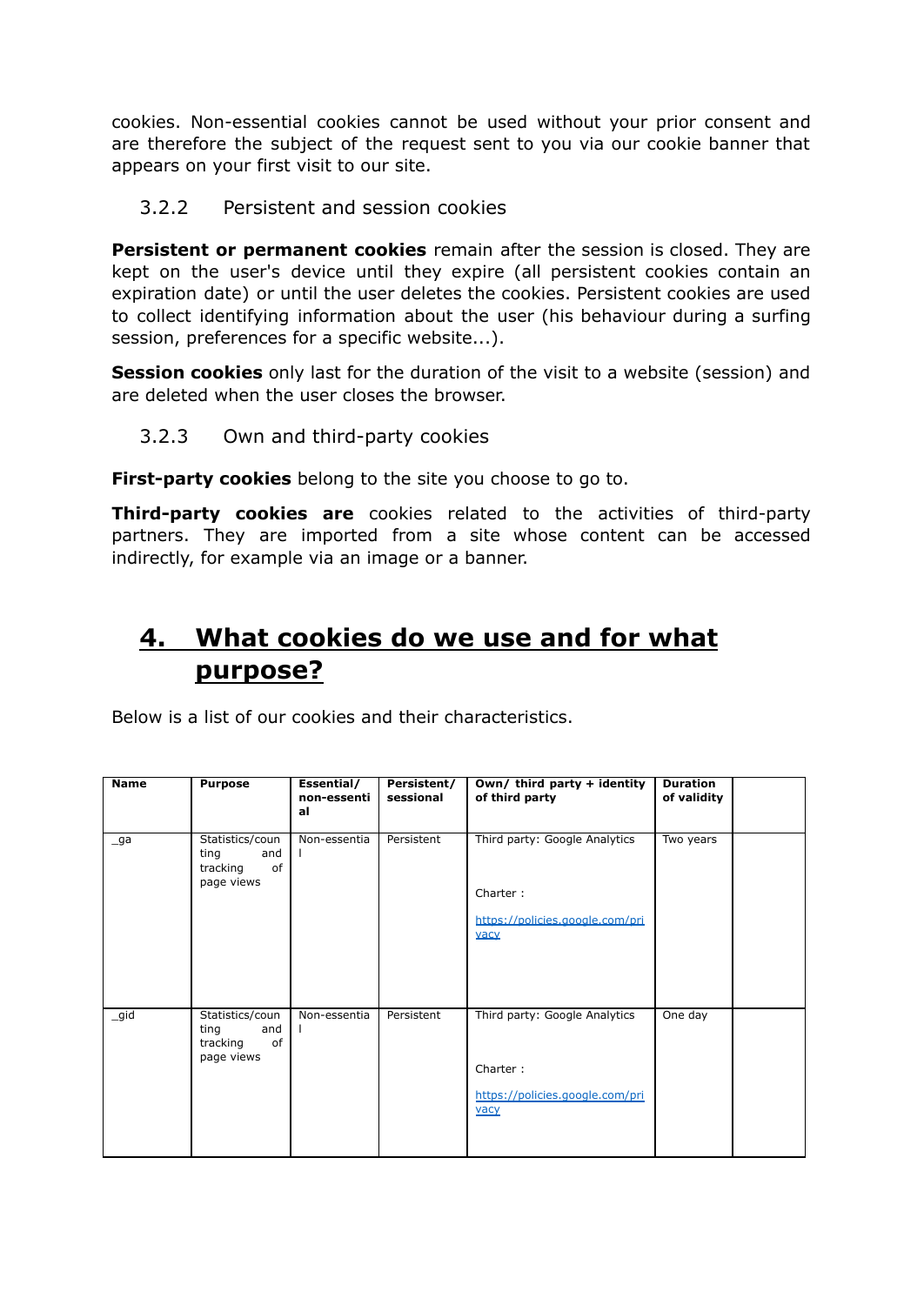cookies. Non-essential cookies cannot be used without your prior consent and are therefore the subject of the request sent to you via our cookie banner that appears on your first visit to our site.

<span id="page-2-0"></span>3.2.2 Persistent and session cookies

**Persistent or permanent cookies** remain after the session is closed. They are kept on the user's device until they expire (all persistent cookies contain an expiration date) or until the user deletes the cookies. Persistent cookies are used to collect identifying information about the user (his behaviour during a surfing session, preferences for a specific website...).

**Session cookies** only last for the duration of the visit to a website (session) and are deleted when the user closes the browser.

<span id="page-2-1"></span>3.2.3 Own and third-party cookies

**First-party cookies** belong to the site you choose to go to.

**Third-party cookies are** cookies related to the activities of third-party partners. They are imported from a site whose content can be accessed indirectly, for example via an image or a banner.

# <span id="page-2-2"></span>**4. What cookies do we use and for what purpose?**

Below is a list of our cookies and their characteristics.

| <b>Name</b> | <b>Purpose</b>                                                 | Essential/<br>non-essenti<br>al | Persistent/<br>sessional | Own/ third party + identity<br>of third party                                        | <b>Duration</b><br>of validity |  |
|-------------|----------------------------------------------------------------|---------------------------------|--------------------------|--------------------------------------------------------------------------------------|--------------------------------|--|
| _ga         | Statistics/coun<br>ting<br>and<br>of<br>tracking<br>page views | Non-essentia                    | Persistent               | Third party: Google Analytics<br>Charter:<br>https://policies.google.com/pri<br>vacy | Two years                      |  |
| _gid        | Statistics/coun<br>ting<br>and<br>of<br>tracking<br>page views | Non-essentia                    | Persistent               | Third party: Google Analytics<br>Charter:<br>https://policies.google.com/pri<br>vacy | One day                        |  |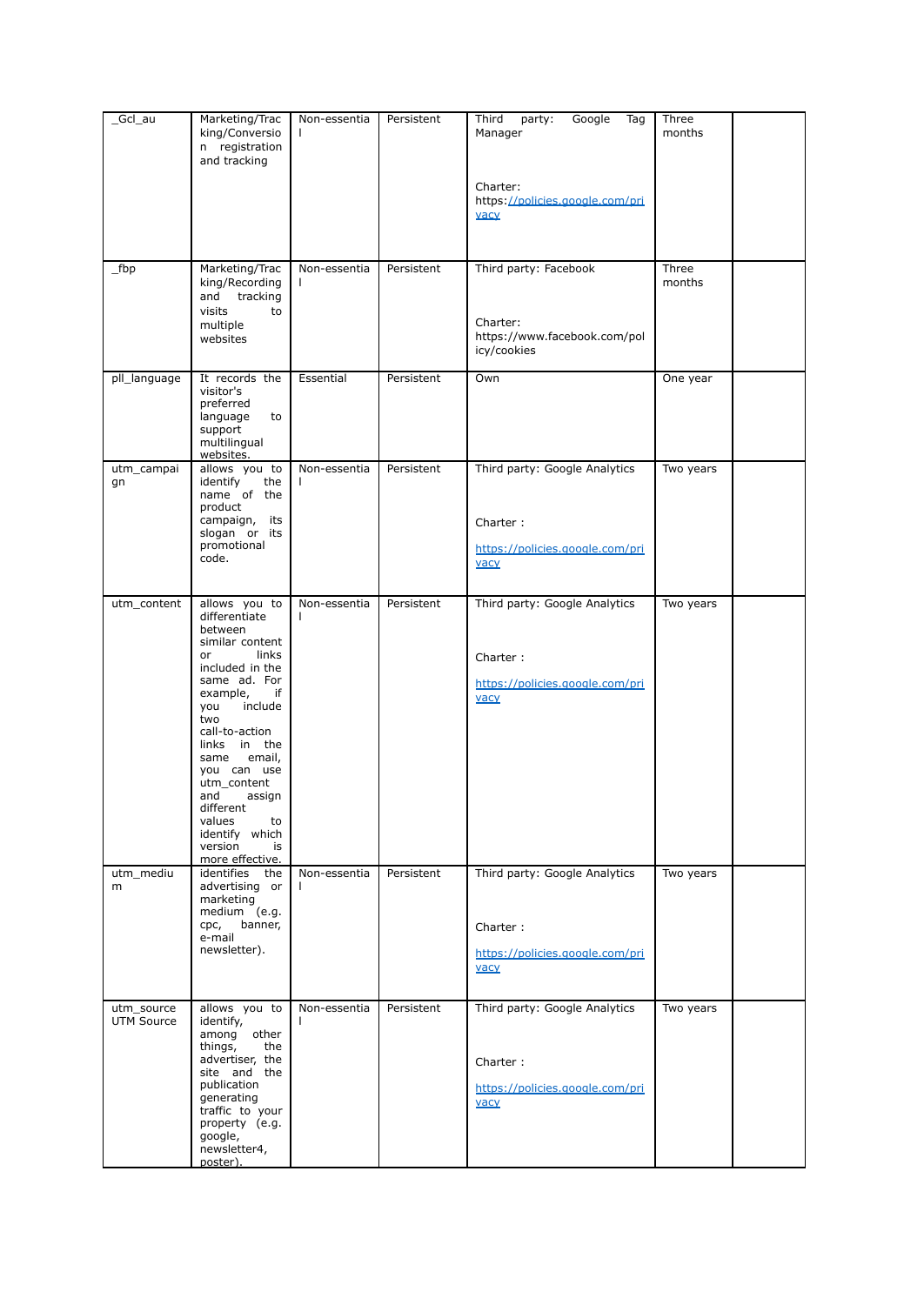| _Gcl_au                         | Marketing/Trac<br>king/Conversio<br>n registration<br>and tracking                                                                                                                                                                                                                                                                                 | Non-essentia       | Persistent | Third<br>Google<br>party:<br>Tag<br>Manager<br>Charter:<br>https://policies.google.com/pri<br>vacy | Three<br>months         |  |
|---------------------------------|----------------------------------------------------------------------------------------------------------------------------------------------------------------------------------------------------------------------------------------------------------------------------------------------------------------------------------------------------|--------------------|------------|----------------------------------------------------------------------------------------------------|-------------------------|--|
| fbp                             | Marketing/Trac<br>king/Recording<br>tracking<br>and<br>visits<br>to<br>multiple<br>websites                                                                                                                                                                                                                                                        | Non-essentia<br>L  | Persistent | Third party: Facebook<br>Charter:<br>https://www.facebook.com/pol<br>icy/cookies                   | Three<br>months         |  |
| pll_language                    | It records the<br>visitor's<br>preferred<br>language<br>to<br>support<br>multilingual<br>websites.                                                                                                                                                                                                                                                 | Essential          | Persistent | Own                                                                                                | One year                |  |
| utm_campai<br>gn                | allows you to<br>identify<br>the<br>name of the<br>product<br>campaign,<br>its<br>slogan or its<br>promotional<br>code.                                                                                                                                                                                                                            | Non-essentia       | Persistent | Third party: Google Analytics<br>Charter:<br>https://policies.google.com/pri<br>vacy               | $\overline{T}$ wo years |  |
| utm_content                     | allows you to<br>differentiate<br>between<br>similar content<br>links<br>or<br>included in the<br>same ad. For<br>example,<br>if<br>you<br>include<br>two<br>call-to-action<br>in the<br>links<br>email,<br>same<br>you can use<br>utm_content<br>and<br>assign<br>different<br>values<br>to<br>identify which<br>version<br>is<br>more effective. | Non-essentia<br>L  | Persistent | Third party: Google Analytics<br>Charter:<br>https://policies.google.com/pri<br>vacy               | Two years               |  |
| utm_mediu<br>m                  | identifies the<br>advertising or<br>marketing<br>medium (e.g.<br>banner,<br>cpc,<br>e-mail<br>newsletter).                                                                                                                                                                                                                                         | Non-essentia<br>L. | Persistent | Third party: Google Analytics<br>Charter:<br>https://policies.google.com/pri<br>vacy               | Two years               |  |
| utm_source<br><b>UTM Source</b> | allows you to<br>identify,<br>among<br>other<br>things,<br>the<br>advertiser, the<br>site and the<br>publication<br>generating<br>traffic to your<br>property (e.g.<br>google,<br>newsletter4,<br>poster).                                                                                                                                         | Non-essentia       | Persistent | Third party: Google Analytics<br>Charter:<br>https://policies.google.com/pri<br>vacy               | Two years               |  |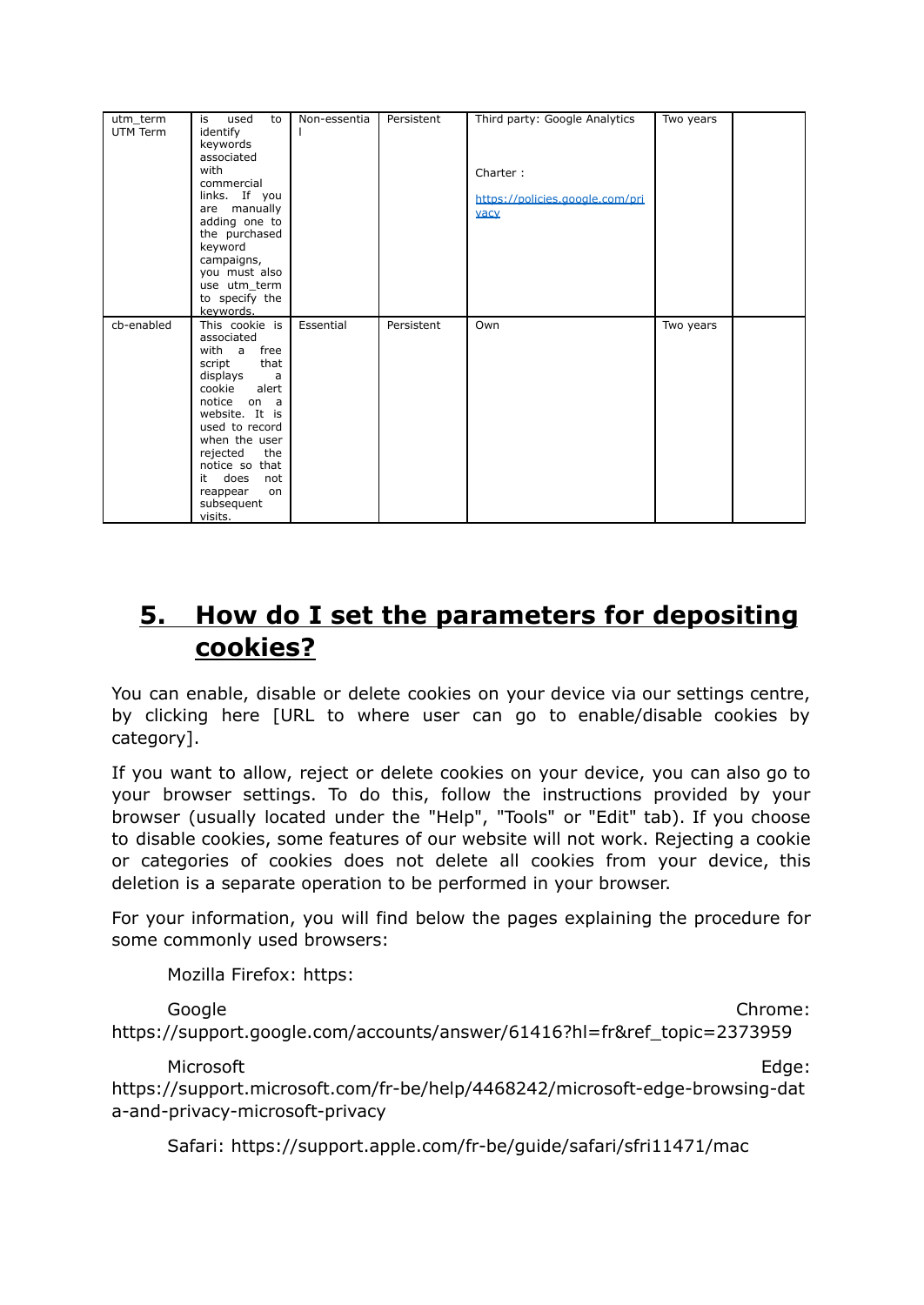| utm_term   | is<br>used<br>to      | Non-essentia | Persistent | Third party: Google Analytics   | Two years |  |
|------------|-----------------------|--------------|------------|---------------------------------|-----------|--|
| UTM Term   | identify              |              |            |                                 |           |  |
|            | keywords              |              |            |                                 |           |  |
|            | associated            |              |            |                                 |           |  |
|            | with                  |              |            | Charter:                        |           |  |
|            | commercial            |              |            |                                 |           |  |
|            | links. If you         |              |            | https://policies.google.com/pri |           |  |
|            | are manually          |              |            |                                 |           |  |
|            | adding one to         |              |            | vacy                            |           |  |
|            | the purchased         |              |            |                                 |           |  |
|            | keyword               |              |            |                                 |           |  |
|            | campaigns,            |              |            |                                 |           |  |
|            | you must also         |              |            |                                 |           |  |
|            | use utm term          |              |            |                                 |           |  |
|            | to specify the        |              |            |                                 |           |  |
|            | keywords.             |              |            |                                 |           |  |
|            |                       |              |            |                                 |           |  |
| cb-enabled | This cookie is        | Essential    | Persistent | Own                             | Two years |  |
|            | associated            |              |            |                                 |           |  |
|            | with a<br>free        |              |            |                                 |           |  |
|            | that<br>script        |              |            |                                 |           |  |
|            | displays<br>a         |              |            |                                 |           |  |
|            | cookie<br>alert       |              |            |                                 |           |  |
|            | notice on a           |              |            |                                 |           |  |
|            | website. It is        |              |            |                                 |           |  |
|            | used to record        |              |            |                                 |           |  |
|            | when the user         |              |            |                                 |           |  |
|            | rejected<br>the       |              |            |                                 |           |  |
|            | notice so that        |              |            |                                 |           |  |
|            | it<br>does<br>not     |              |            |                                 |           |  |
|            | reappear<br>on        |              |            |                                 |           |  |
|            | subsequent<br>visits. |              |            |                                 |           |  |

# <span id="page-4-0"></span>**5. How do I set the parameters for depositing cookies?**

You can enable, disable or delete cookies on your device via our settings centre, by clicking here [URL to where user can go to enable/disable cookies by category].

If you want to allow, reject or delete cookies on your device, you can also go to your browser settings. To do this, follow the instructions provided by your browser (usually located under the "Help", "Tools" or "Edit" tab). If you choose to disable cookies, some features of our website will not work. Rejecting a cookie or categories of cookies does not delete all cookies from your device, this deletion is a separate operation to be performed in your browser.

For your information, you will find below the pages explaining the procedure for some commonly used browsers:

Mozilla Firefox: https:

Google Chrome: https://support.google.com/accounts/answer/61416?hl=fr&ref\_topic=2373959

Microsoft **Edge:** 

https://support.microsoft.com/fr-be/help/4468242/microsoft-edge-browsing-dat a-and-privacy-microsoft-privacy

Safari: https://support.apple.com/fr-be/guide/safari/sfri11471/mac